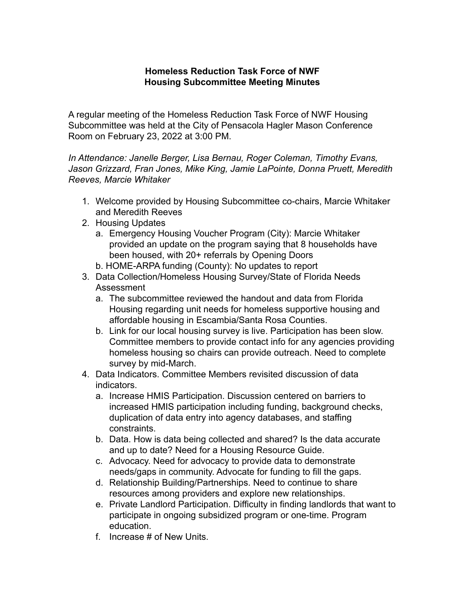## **Homeless Reduction Task Force of NWF Housing Subcommittee Meeting Minutes**

A regular meeting of the Homeless Reduction Task Force of NWF Housing Subcommittee was held at the City of Pensacola Hagler Mason Conference Room on February 23, 2022 at 3:00 PM.

*In Attendance: Janelle Berger, Lisa Bernau, Roger Coleman, Timothy Evans, Jason Grizzard, Fran Jones, Mike King, Jamie LaPointe, Donna Pruett, Meredith Reeves, Marcie Whitaker*

- 1. Welcome provided by Housing Subcommittee co-chairs, Marcie Whitaker and Meredith Reeves
- 2. Housing Updates
	- a. Emergency Housing Voucher Program (City): Marcie Whitaker provided an update on the program saying that 8 households have been housed, with 20+ referrals by Opening Doors
	- b. HOME-ARPA funding (County): No updates to report
- 3. Data Collection/Homeless Housing Survey/State of Florida Needs Assessment
	- a. The subcommittee reviewed the handout and data from Florida Housing regarding unit needs for homeless supportive housing and affordable housing in Escambia/Santa Rosa Counties.
	- b. Link for our local housing survey is live. Participation has been slow. Committee members to provide contact info for any agencies providing homeless housing so chairs can provide outreach. Need to complete survey by mid-March.
- 4. Data Indicators. Committee Members revisited discussion of data indicators.
	- a. Increase HMIS Participation. Discussion centered on barriers to increased HMIS participation including funding, background checks, duplication of data entry into agency databases, and staffing constraints.
	- b. Data. How is data being collected and shared? Is the data accurate and up to date? Need for a Housing Resource Guide.
	- c. Advocacy. Need for advocacy to provide data to demonstrate needs/gaps in community. Advocate for funding to fill the gaps.
	- d. Relationship Building/Partnerships. Need to continue to share resources among providers and explore new relationships.
	- e. Private Landlord Participation. Difficulty in finding landlords that want to participate in ongoing subsidized program or one-time. Program education.
	- f. Increase # of New Units.